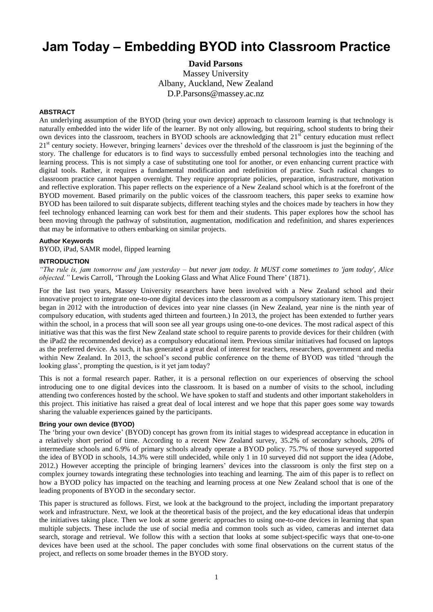# **Jam Today – Embedding BYOD into Classroom Practice**

**David Parsons** Massey University Albany, Auckland, New Zealand D.P.Parsons@massey.ac.nz

#### **ABSTRACT**

An underlying assumption of the BYOD (bring your own device) approach to classroom learning is that technology is naturally embedded into the wider life of the learner. By not only allowing, but requiring, school students to bring their own devices into the classroom, teachers in BYOD schools are acknowledging that 21<sup>st</sup> century education must reflect  $21<sup>st</sup>$  century society. However, bringing learners' devices over the threshold of the classroom is just the beginning of the story. The challenge for educators is to find ways to successfully embed personal technologies into the teaching and learning process. This is not simply a case of substituting one tool for another, or even enhancing current practice with digital tools. Rather, it requires a fundamental modification and redefinition of practice. Such radical changes to classroom practice cannot happen overnight. They require appropriate policies, preparation, infrastructure, motivation and reflective exploration. This paper reflects on the experience of a New Zealand school which is at the forefront of the BYOD movement. Based primarily on the public voices of the classroom teachers, this paper seeks to examine how BYOD has been tailored to suit disparate subjects, different teaching styles and the choices made by teachers in how they feel technology enhanced learning can work best for them and their students. This paper explores how the school has been moving through the pathway of substitution, augmentation, modification and redefinition, and shares experiences that may be informative to others embarking on similar projects.

#### **Author Keywords**

BYOD, iPad, SAMR model, flipped learning

## **INTRODUCTION**

*"The rule is, jam tomorrow and jam yesterday – but never jam today. It MUST come sometimes to 'jam today', Alice objected."* Lewis Carroll, "Through the Looking Glass and What Alice Found There" (1871).

For the last two years, Massey University researchers have been involved with a New Zealand school and their innovative project to integrate one-to-one digital devices into the classroom as a compulsory stationary item. This project began in 2012 with the introduction of devices into year nine classes (in New Zealand, year nine is the ninth year of compulsory education, with students aged thirteen and fourteen.) In 2013, the project has been extended to further years within the school, in a process that will soon see all year groups using one-to-one devices. The most radical aspect of this initiative was that this was the first New Zealand state school to require parents to provide devices for their children (with the iPad2 the recommended device) as a compulsory educational item. Previous similar initiatives had focused on laptops as the preferred device. As such, it has generated a great deal of interest for teachers, researchers, government and media within New Zealand. In 2013, the school's second public conference on the theme of BYOD was titled 'through the looking glass', prompting the question, is it yet jam today?

This is not a formal research paper. Rather, it is a personal reflection on our experiences of observing the school introducing one to one digital devices into the classroom. It is based on a number of visits to the school, including attending two conferences hosted by the school. We have spoken to staff and students and other important stakeholders in this project. This initiative has raised a great deal of local interest and we hope that this paper goes some way towards sharing the valuable experiences gained by the participants.

#### **Bring your own device (BYOD)**

The "bring your own device" (BYOD) concept has grown from its initial stages to widespread acceptance in education in a relatively short period of time. According to a recent New Zealand survey, 35.2% of secondary schools, 20% of intermediate schools and 6.9% of primary schools already operate a BYOD policy. 75.7% of those surveyed supported the idea of BYOD in schools, 14.3% were still undecided, while only 1 in 10 surveyed did not support the idea (Adobe, 2012.) However accepting the principle of bringing learners" devices into the classroom is only the first step on a complex journey towards integrating these technologies into teaching and learning. The aim of this paper is to reflect on how a BYOD policy has impacted on the teaching and learning process at one New Zealand school that is one of the leading proponents of BYOD in the secondary sector.

This paper is structured as follows. First, we look at the background to the project, including the important preparatory work and infrastructure. Next, we look at the theoretical basis of the project, and the key educational ideas that underpin the initiatives taking place. Then we look at some generic approaches to using one-to-one devices in learning that span multiple subjects. These include the use of social media and common tools such as video, cameras and internet data search, storage and retrieval. We follow this with a section that looks at some subject-specific ways that one-to-one devices have been used at the school. The paper concludes with some final observations on the current status of the project, and reflects on some broader themes in the BYOD story.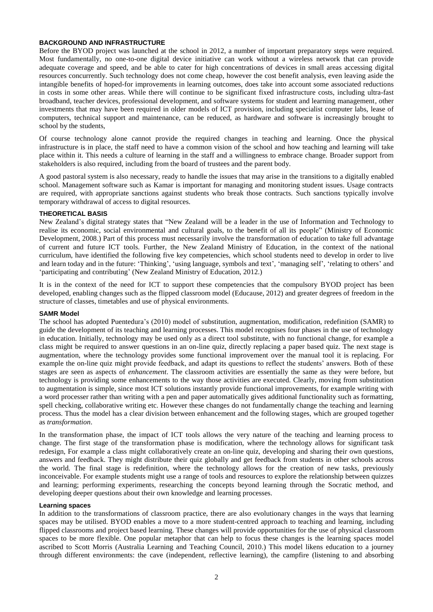## **BACKGROUND AND INFRASTRUCTURE**

Before the BYOD project was launched at the school in 2012, a number of important preparatory steps were required. Most fundamentally, no one-to-one digital device initiative can work without a wireless network that can provide adequate coverage and speed, and be able to cater for high concentrations of devices in small areas accessing digital resources concurrently. Such technology does not come cheap, however the cost benefit analysis, even leaving aside the intangible benefits of hoped-for improvements in learning outcomes, does take into account some associated reductions in costs in some other areas. While there will continue to be significant fixed infrastructure costs, including ultra-fast broadband, teacher devices, professional development, and software systems for student and learning management, other investments that may have been required in older models of ICT provision, including specialist computer labs, lease of computers, technical support and maintenance, can be reduced, as hardware and software is increasingly brought to school by the students,

Of course technology alone cannot provide the required changes in teaching and learning. Once the physical infrastructure is in place, the staff need to have a common vision of the school and how teaching and learning will take place within it. This needs a culture of learning in the staff and a willingness to embrace change. Broader support from stakeholders is also required, including from the board of trustees and the parent body.

A good pastoral system is also necessary, ready to handle the issues that may arise in the transitions to a digitally enabled school. Management software such as Kamar is important for managing and monitoring student issues. Usage contracts are required, with appropriate sanctions against students who break those contracts. Such sanctions typically involve temporary withdrawal of access to digital resources.

## **THEORETICAL BASIS**

New Zealand"s digital strategy states that "New Zealand will be a leader in the use of Information and Technology to realise its economic, social environmental and cultural goals, to the benefit of all its people" (Ministry of Economic Development, 2008.) Part of this process must necessarily involve the transformation of education to take full advantage of current and future ICT tools. Further, the New Zealand Ministry of Education, in the context of the national curriculum, have identified the following five key competencies, which school students need to develop in order to live and learn today and in the future: 'Thinking', 'using language, symbols and text', 'managing self', 'relating to others' and 'participating and contributing' (New Zealand Ministry of Education, 2012.)

It is in the context of the need for ICT to support these competencies that the compulsory BYOD project has been developed, enabling changes such as the flipped classroom model (Educause, 2012) and greater degrees of freedom in the structure of classes, timetables and use of physical environments.

#### **SAMR Model**

The school has adopted Puentedura"s (2010) model of substitution, augmentation, modification, redefinition (SAMR) to guide the development of its teaching and learning processes. This model recognises four phases in the use of technology in education. Initially, technology may be used only as a direct tool substitute, with no functional change, for example a class might be required to answer questions in an on-line quiz, directly replacing a paper based quiz. The next stage is augmentation, where the technology provides some functional improvement over the manual tool it is replacing. For example the on-line quiz might provide feedback, and adapt its questions to reflect the students' answers. Both of these stages are seen as aspects of *enhancement*. The classroom activities are essentially the same as they were before, but technology is providing some enhancements to the way those activities are executed. Clearly, moving from substitution to augmentation is simple, since most ICT solutions instantly provide functional improvements, for example writing with a word processer rather than writing with a pen and paper automatically gives additional functionality such as formatting, spell checking, collaborative writing etc. However these changes do not fundamentally change the teaching and learning process. Thus the model has a clear division between enhancement and the following stages, which are grouped together as *transformation*.

In the transformation phase, the impact of ICT tools allows the very nature of the teaching and learning process to change. The first stage of the transformation phase is modification, where the technology allows for significant task redesign, For example a class might collaboratively create an on-line quiz, developing and sharing their own questions, answers and feedback. They might distribute their quiz globally and get feedback from students in other schools across the world. The final stage is redefinition, where the technology allows for the creation of new tasks, previously inconceivable. For example students might use a range of tools and resources to explore the relationship between quizzes and learning; performing experiments, researching the concepts beyond learning through the Socratic method, and developing deeper questions about their own knowledge and learning processes.

#### **Learning spaces**

In addition to the transformations of classroom practice, there are also evolutionary changes in the ways that learning spaces may be utilised. BYOD enables a move to a more student-centred approach to teaching and learning, including flipped classrooms and project based learning. These changes will provide opportunities for the use of physical classroom spaces to be more flexible. One popular metaphor that can help to focus these changes is the learning spaces model ascribed to Scott Morris (Australia Learning and Teaching Council, 2010.) This model likens education to a journey through different environments: the cave (independent, reflective learning), the campfire (listening to and absorbing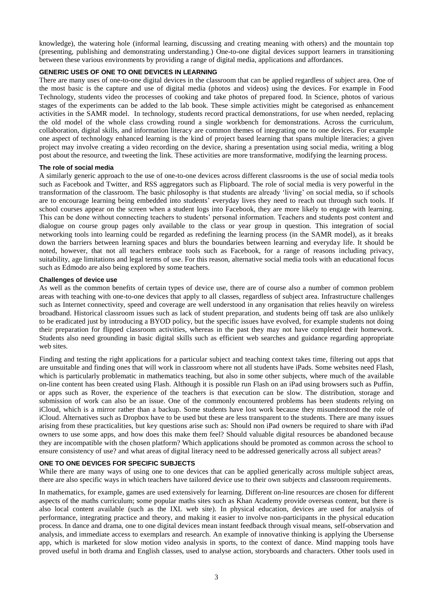knowledge), the watering hole (informal learning, discussing and creating meaning with others) and the mountain top (presenting, publishing and demonstrating understanding.) One-to-one digital devices support learners in transitioning between these various environments by providing a range of digital media, applications and affordances.

## **GENERIC USES OF ONE TO ONE DEVICES IN LEARNING**

There are many uses of one-to-one digital devices in the classroom that can be applied regardless of subject area. One of the most basic is the capture and use of digital media (photos and videos) using the devices. For example in Food Technology, students video the processes of cooking and take photos of prepared food. In Science, photos of various stages of the experiments can be added to the lab book. These simple activities might be categorised as enhancement activities in the SAMR model. In technology, students record practical demonstrations, for use when needed, replacing the old model of the whole class crowding round a single workbench for demonstrations. Across the curriculum, collaboration, digital skills, and information literacy are common themes of integrating one to one devices. For example one aspect of technology enhanced learning is the kind of project based learning that spans multiple literacies; a given project may involve creating a video recording on the device, sharing a presentation using social media, writing a blog post about the resource, and tweeting the link. These activities are more transformative, modifying the learning process.

## **The role of social media**

A similarly generic approach to the use of one-to-one devices across different classrooms is the use of social media tools such as Facebook and Twitter, and RSS aggregators such as Flipboard. The role of social media is very powerful in the transformation of the classroom. The basic philosophy is that students are already "living" on social media, so if schools are to encourage learning being embedded into students' everyday lives they need to reach out through such tools. If school courses appear on the screen when a student logs into Facebook, they are more likely to engage with learning. This can be done without connecting teachers to students' personal information. Teachers and students post content and dialogue on course group pages only available to the class or year group in question. This integration of social networking tools into learning could be regarded as redefining the learning process (in the SAMR model), as it breaks down the barriers between learning spaces and blurs the boundaries between learning and everyday life. It should be noted, however, that not all teachers embrace tools such as Facebook, for a range of reasons including privacy, suitability, age limitations and legal terms of use. For this reason, alternative social media tools with an educational focus such as Edmodo are also being explored by some teachers.

#### **Challenges of device use**

As well as the common benefits of certain types of device use, there are of course also a number of common problem areas with teaching with one-to-one devices that apply to all classes, regardless of subject area. Infrastructure challenges such as Internet connectivity, speed and coverage are well understood in any organisation that relies heavily on wireless broadband. Historical classroom issues such as lack of student preparation, and students being off task are also unlikely to be eradicated just by introducing a BYOD policy, but the specific issues have evolved, for example students not doing their preparation for flipped classroom activities, whereas in the past they may not have completed their homework. Students also need grounding in basic digital skills such as efficient web searches and guidance regarding appropriate web sites.

Finding and testing the right applications for a particular subject and teaching context takes time, filtering out apps that are unsuitable and finding ones that will work in classroom where not all students have iPads. Some websites need Flash, which is particularly problematic in mathematics teaching, but also in some other subjects, where much of the available on-line content has been created using Flash. Although it is possible run Flash on an iPad using browsers such as Puffin, or apps such as Rover, the experience of the teachers is that execution can be slow. The distribution, storage and submission of work can also be an issue. One of the commonly encountered problems has been students relying on iCloud, which is a mirror rather than a backup. Some students have lost work because they misunderstood the role of iCloud. Alternatives such as Dropbox have to be used but these are less transparent to the students. There are many issues arising from these practicalities, but key questions arise such as: Should non iPad owners be required to share with iPad owners to use some apps, and how does this make them feel? Should valuable digital resources be abandoned because they are incompatible with the chosen platform? Which applications should be promoted as common across the school to ensure consistency of use? and what areas of digital literacy need to be addressed generically across all subject areas?

#### **ONE TO ONE DEVICES FOR SPECIFIC SUBJECTS**

While there are many ways of using one to one devices that can be applied generically across multiple subject areas, there are also specific ways in which teachers have tailored device use to their own subjects and classroom requirements.

In mathematics, for example, games are used extensively for learning. Different on-line resources are chosen for different aspects of the maths curriculum; some popular maths sites such as Khan Academy provide overseas content, but there is also local content available (such as the IXL web site). In physical education, devices are used for analysis of performance, integrating practice and theory, and making it easier to involve non-participants in the physical education process. In dance and drama, one to one digital devices mean instant feedback through visual means, self-observation and analysis, and immediate access to exemplars and research. An example of innovative thinking is applying the Ubersense app, which is marketed for slow motion video analysis in sports, to the context of dance. Mind mapping tools have proved useful in both drama and English classes, used to analyse action, storyboards and characters. Other tools used in